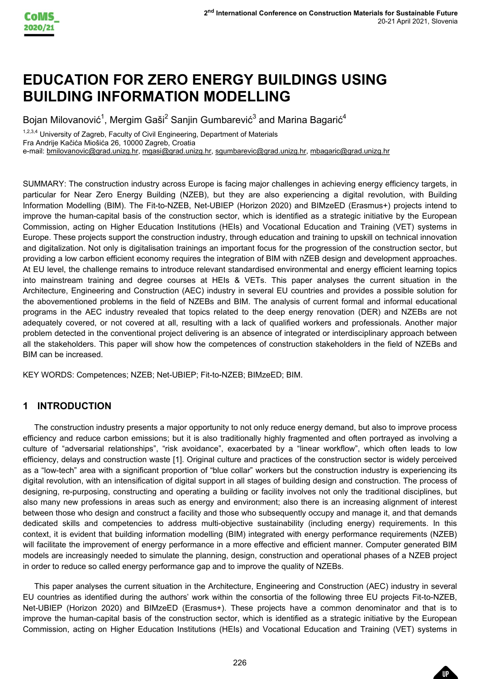

# **EDUCATION FOR ZERO ENERGY BUILDINGS USING BUILDING INFORMATION MODELLING**

Bojan Milovanović $^1$ , Mergim Gaši $^2$  Sanjin Gumbarević $^3$  and Marina Bagarić $^4$ 

1,2,3,4 University of Zagreb, Faculty of Civil Engineering, Department of Materials

Fra Andrije Kačića Miošića 26, 10000 Zagreb, Croatia

e-mail: bmilovanovic@grad.unizg.hr, mgasi@grad.unizg.hr, sgumbarevic@grad.unizg.hr, mbagaric@grad.unizg.hr

Lunizg.hr<br>
alternative of the European<br>
Lunizg.hr<br>
the respective of the Building<br>
in trevolution, with Building<br>
in triative by the European<br>
Training (VET) systems in<br>
Skill on technical innovation<br>
flowelopment approac SUMMARY: The construction industry across Europe is facing major challenges in achieving energy efficiency targets, in particular for Near Zero Energy Building (NZEB), but they are also experiencing a digital revolution, with Building Information Modelling (BIM). The Fit-to-NZEB, Net-UBIEP (Horizon 2020) and BIMzeED (Erasmus+) projects intend to improve the human -capital basis of the construction sector, which is identified as a strategic initiative by the European Commission, acting on Higher Education Institutions (HEIs) and Vocational Education and Training (VET) systems in Europe. These projects support the construction industry, through education and training to upskill on technical innovation and digitalization. Not only is digitalisation trainings an important focus for the progression of the construction sector, but providing a low carbon efficient economy requires the integration of BIM with nZEB design and development approaches. At EU level, the challenge remains to introduce relevant standardised environmental and energy efficient learning topics into mainstream training and degree courses at HEIs & VETs. This paper analyses the current situation in the Architecture, Engineering and Construction (AEC) industry in several EU countries and provides a possible solution for the abovementioned problems in the field of NZEBs and BIM. The analysis of current formal and informal educational programs in the AEC industry revealed that topics related to the deep energy renovation (DER ) and NZEBs are not adequately covered, or not covered at all, resulting with a lack of qualified workers and professionals. Another major problem detected in the conventional project delivering is an absence of integrated or interdisciplinary approach between all the stakeholders. This paper will show how the competences of construction stakeholders in the field of NZEBs and BIM can be increased.

KEY WORDS: Competences; NZEB; Net-UBIEP; Fit-to-NZEB; BIMzeED; BIM.

# **1 INTRODUCTION**

The construction industry presents a major opportunity to not only reduce energy demand, but also to improve process efficiency and reduce carbon emissions; but it is also traditionally highly fragmented and often portrayed as involving a culture of "adversarial relationships", "risk avoidance", exacerbated by a "linear workflow", which often leads to low efficiency, delays and construction waste [1]. Original culture and practices of the construction sector is widely perceived as a "low -tech" area with a significant proportion of "blue collar" workers but the construction industry is experiencing its digital revolution, with an intensification of digital support in all stages of building design and construction. The process of designing, re -purposing, constructing and operating a building or facility involves not only the traditional disciplines, but also many new professions in areas such as energy and environment; also there is an increasing alignment of interest between those who design and construct a facility and those who subsequently occupy and manage it, and that demands dedicated skills and competencies to address multi -objective sustainability (including energy) requirements. In this context, it is evident that building information modelling (BIM ) integrated with energy performance requirements (NZEB) will facilitate the improvement of energy performance in a more effective and efficient manner. Computer generated BIM models are increasingly needed to simulate the planning, design, construction and operational phases of a NZEB project in order to reduce so called energy performance gap and to improve the quality of NZEBs.

This paper analyses the current situation in the Architecture, Engineering and Construction (AEC) industry in several EU countries as identified during the authors' work within the consortia of the following three EU projects Fit -to -NZEB, Net -UBIEP (Horizon 2020) and BIMzeED (Erasmus+). These projects have a common denominator and that is to improve the human -capital basis of the construction sector, which is identified as a strategic initiative by the European Commission, acting on Higher Education Institutions (HEIs) and Vocational Education and Training (VET) systems in

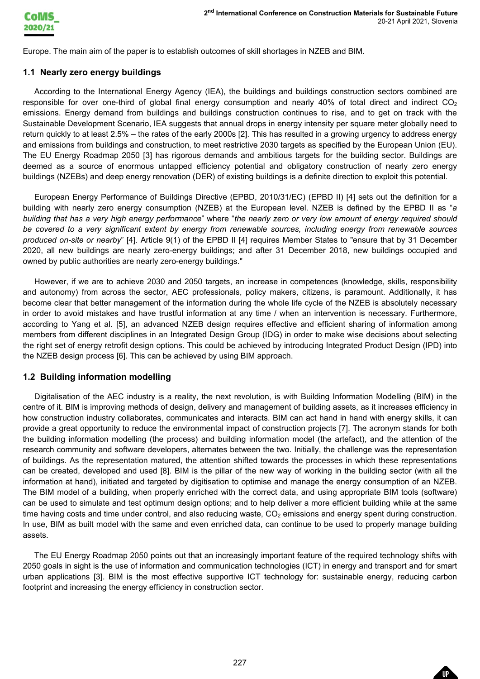

Europe . The main aim of the paper is to establish outcomes of skill shortages in NZEB and BIM.

#### **1.1 Nearly zero energy buildings**

According to the International Energy Agency (IEA), the buildings and buildings construction sectors combined are responsible for over one-third of global final energy consumption and nearly 40% of total direct and indirect CO $_2$ emissions. Energy demand from buildings and buildings construction continues to rise, and to get on track with the Sustainable Development Scenario, IEA suggests that annual drops in energy intensity per square meter globally need to return quickly to at least 2.5% – the rates of the early 2000s [2]. This has resulted in a growing urgency to address energy and emissions from buildings and construction, to meet restrictive 20 30 targets as specified by the European Union (EU). The EU Energy Roadmap 2050 [3] has rigorous demands and ambitious targets for the building sector. Buildings are deemed as a source of enormous untapped efficiency potential and obligatory construction of nearly zero energy buildings (NZEBs) and deep energy renovation (DER) of existing buildings is a definite direction to exploit this potential.

European Energy Performance of Buildings Directive (EPBD, 2010/31/EC) (EPBD II) [4] sets out the definition for a building with nearly zero energy consumption (NZEB) at the European level. NZEB is defined by the EPBD II as "*a building that has a very high energy performance*" where "*the nearly zero or very low amount of energy required should be covered to a very significant extent by energy from renewable sources, including energy from renewable sources produced on -site or nearby*" [4] . Article 9(1) of the EPBD II [4] requires Member States to "ensure that by 31 December 2020, all new buildings are nearly zero-energy buildings; and after 31 December 2018, new buildings occupied and owned by public authorities are nearly zero -energy buildings."

However, if we are to achieve 2030 and 2050 targets, an increase in competences (knowledge, skills, responsibility and autonomy) from across the sector, AEC professionals, policy makers, citizens, is paramount. Additionally, it has become clear that better management of the information during the whole life cycle of the NZEB is absolutely necessary in order to avoid mistakes and have trustful information at any time / when an intervention is necessary. Furthermore,<br>according to Yang et al. [5], an advanced NZEB design reguires effective and efficient sharing of infor members from different disciplines in an Integrated Design Group (IDG) in order to make wise decisions about selecting the right set of energy retrofit design options. This could be achieved by introducing Integrated Product Design (IPD) into the NZEB design process [6] . This can be achieved by using BIM approach.

#### **1.2 Building information modelling**

 $20-21$  April 2021, slovenila<br>and direct and indirect  $CO_2$ <br>and direct and indirect  $CO_2$ <br>d to get on track with the<br>are meter globally need to<br>urgency to address energy<br>the European Union (EU).<br>Iding sector. Buildings ar Digitalisation of the AEC industry is a reality, the next revolution, is with Building Information Modelling (BIM ) in the centre of it. BIM is improving methods of design, delivery and management of building assets, as it increases efficiency in how construction industry collaborates, communicates and interact s. BIM can act hand in hand with energy skills, it can provide a great opportunity to reduce the environmental impact of construction projects [7] . The acronym stands for both the building information modelling (the process) and building information model (the artefact), and the attention of the research community and software developers, alternates between the two. Initially, the challenge was the representation of buildings. As the representation matured, the attention shifted towards the processes in which these representations can be created, developed and used [8]. BIM is the pillar of the new way of working in the building sector (with all the information at hand), initiated and targeted by digitisation to optimise and manage the energy consumption of an NZEB. The BIM model of a building, when properly enriched with the correct data, and using appropriate BIM tools (software) can be used to simulate and test optimum design options; and to help deliver a more efficient building while at the same time having costs and time under control, and also reducing waste, CO $_2$  emissions and energy spent during construction. In use, BIM as built model with the same and even enriched data, can continue to be used to properly manage building assets.

The EU Energy Roadmap 2050 points out that an increasingly important feature of the required technology shifts with 2050 goals in sight is the use of information and communication technologies (ICT) in energy and transport and for smart urban applications [3]. BIM is the most effective supportive ICT technology for: sustainable energy, reducing carbon footprint and increasing the energy efficiency in construction sector.

UP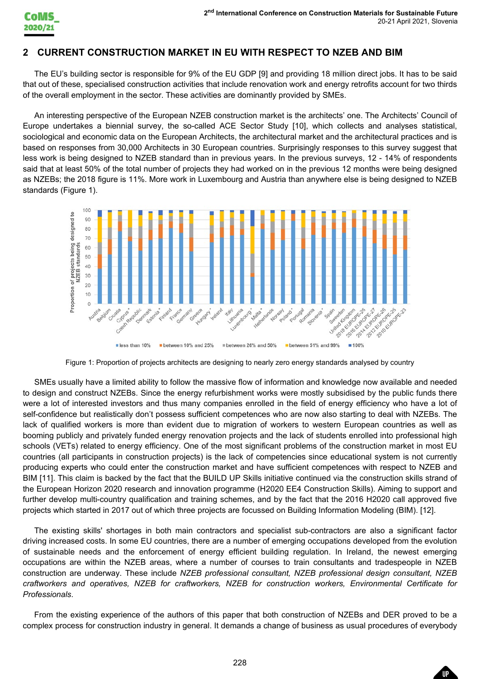

## **2 CURRENT CONSTRUCTION MARKET IN EU WITH RESPECT TO NZEB AND BIM**

The EU's building sector is responsible for 9% of the EU GDP [9] and providing 1 8 million direct jobs. It has to be said that out of these, specialised construction activities that include renovation work and energy retrofits account for two thirds of the overall employment in the sector. These activities are dominantly provided by SMEs.

An interesting perspective of the European NZEB construction market is the architects' one. The Architects' Council of Europe undertakes a biennial survey, the so -called ACE Sector Study [10] , which collects and analyses statistical, sociological and economic data on the European Architects, the architectural market and the architectural practices and is<br>based on responses from 30,000 Architects in 30 European countries. Surprisingly responses to this less work is being designed to NZEB standard than in previous years. In the previous surveys, 12 - 14% of respondents said that at least 50 % of the total number of projects they had worked on in the previous 12 months were being designed as NZEBs; the 2018 figure is 11 %. More work in Luxembourg and Austria than anywhere else is being designed to NZEB standards (Figure 1 ) .



Figure 1: Proportion of projects architects are designing to nearly zero energy standards analysed by country

 $20-21$  April 2021, slovenia<br>
and analyses and the said roof that the said roof that account for two thirds<br>
and analyses statistical,<br>
The Architects' Council of<br>
chitectural practices and is<br>
to this survey suggest that SME s usually have a limited ability to follow the massive flow of information and knowledge now available and needed to design and construct NZEBs. Since the energy refurbishment works were mostly subsidised by the public funds there were a lot of interested investors and thus many companies enrolled in the field of energy efficiency who have a lot of self-confidence but realistically don't possess sufficient competences who are now also starting to deal with NZEBs. The lack of qualified workers is more than evident due to migration of workers to western European countries as well as booming publicly and privately funded energy renovation projects and the lack of students enrolled into professional high schools (VETs) related to energy efficiency. One of the most significant problems of the construction market in most EU countries (all participants in construction projects) is the lack of competenc ies since educational system is not currently producing experts who could enter the construction market and have sufficient competences with respect to NZEB and BIM [11]. This claim is backed by the fact that the BUILD UP Skills initiative continued via the construction skills strand of the European Horizon 2020 research and innovation programme (H2020 EE4 Construction Skills). Aiming to support and further develop multi -country qualification and training schemes, and by the fact that the 2016 H2020 call approved five projects which started in 2017 out of which three projects are focussed on Building Information Modeling (BIM). [12] .

The existing skills' shortages in both main contractors and specialist sub -contractors are also a significant factor driving increased costs. In some EU countries, there are a number of emerging occupations developed from the evolution of sustainable needs and the enforcement of energy efficient building regulation. In Ireland , the newest emerging occupations are within the NZEB areas, where a number of courses to train consultants and tradespeople in NZEB construction are underway. These include *NZEB professional consultant, NZEB professional design consultant, NZEB craftworkers and operatives, NZEB for craftworkers, NZEB for construction workers, Environmental Certificate for Professionals*.

From the existing experience of the authors of this paper that both construction of NZEBs and DER proved to be a complex process for construction industry in general. It demands a change of business as usual procedures of everybody

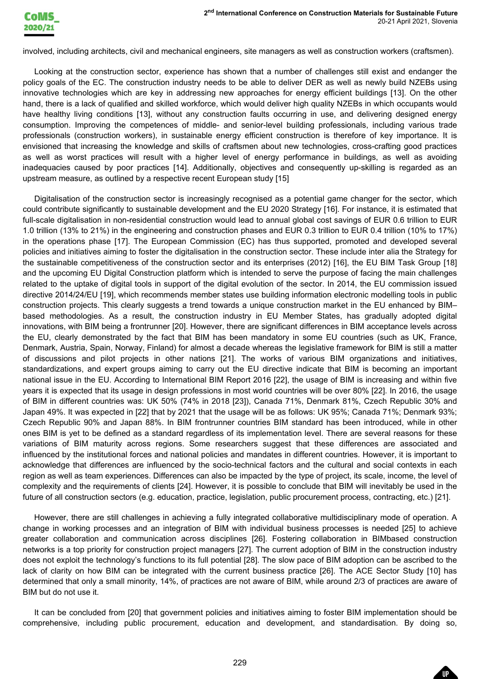

involved, including architects, civil and mechanical engineers, site managers as well as construction workers (craftsmen).

Looking at the construction sector, experience has shown that a number of challenges still exist and endanger the policy goals of the EC. The construction industry needs to be able to deliver DER as well as newly build NZEBs using innovative technologies which are key in addressing new approaches for energy efficient buildings [13]. On the other hand, there is a lack of qualified and skilled workforce, which would deliver high quality NZEBs in which occupants would have healthy living conditions [13], without any construction faults occurring in use, and delivering designed energy consumption. Improving the competences of middle - and senior -level building professionals, including various trade professionals (construction workers), in sustainable energy efficient construction is therefore of key importance. It is envisioned that increasing the knowledge and skills of craftsmen about new technologies, cross -crafting good practices as well as worst practices will result with a higher level of energy performance in buildings, as well as avoiding inadequacies caused by poor practices [14]. Additionally, objectives and consequently up -skilling is regarded as an upstream measure, as outlined by a respective recent European study [15]

 $20-21$  April 2021, slovenia<br>ction workers (craftsmen).<br>till exist and endanger the<br>in which occupants would<br>inlidings [13]. On the other<br>in which occupants would<br>lelivering designed energy<br>be, including a single computat Digitalisation of the construction sector is increasingly recognised as a potential game changer for the sector, which could contribute significantly to sustainable development and the EU 2020 Strategy [16]. For instance, it is estimated that full-scale digitalisation in non-residential construction would lead to annual global cost savings of EUR 0.6 trillion to EUR 1.0 trillion (13% to 21%) in the engineering and construction phases and EUR 0.3 trillion to EUR 0.4 trillion (10% to 17%) in the operations phase [17] . The European Commission (EC) has thus supported, promoted and developed several policies and initiatives aiming to foster the digitalisation in the construction sector. These include inter alia the Strategy for the sustainable competitiveness of the construction sector and its enterprises (2012) [16], the EU BIM Task Group [18] and the upcoming EU Digital Construction platform which is intended to serve the purpose of facing the main challenges related to the uptake of digital tools in support of the digital evolution of the sector . In 2014, the EU commission issued directive 2014/24/EU [19], which recommends member states use building information electronic modelling tools in public construction projects. This clearly suggests a trend towards a unique construction market in the EU enhanced by BIM – based methodologies. As a result, the construction industry in EU Member States, has gradually adopted digital innovations, with BIM being a frontrunner [20]. However, there are significant differences in BIM acceptance levels across the EU, clearly demonstrated by the fact that BIM has been mandatory in some EU countries (such as UK, France, Denmark, Austria, Spain, Norway, Finland) for almost a decade whereas the legislative framework for BIM is still a matter of discussions and pilot projects in other nations [21] . The works of various BIM organizations and initiatives, standardizations, and expert groups aiming to carry out the EU directive indicate that BIM is becoming an important national issue in the EU. According to International BIM Report 2016 [22], the usage of BIM is increasing and within five years it is expected that its usage in design professions in most world countries will be over 80% [22]. In 2016, the usage of BIM in different countries was: UK 50% (74% in 2018 [23]), Canada 71%, Denmark 81%, Czech Republic 30% and Japan 49%. It was expected in [22] that by 2021 that the usage will be as follows: UK 95%; Canada 71%; Denmark 93%; Czech Republic 90% and Japan 88%. In BIM frontrunner countries BIM standard has been introduced, while in other ones BIM is yet to be defined as a standard regardless of its implementation level. There are several reasons for these variations of BIM maturity across regions. Some researchers suggest that these differences are associated and influenced by the institutional forces and national policies and mandates in different countries. However, it is important to acknowledge that differences are influenced by the socio -technical factors and the cultural and social contexts in each region as well as team experiences. Differences can also be impacted by the type of project, its scale, income, the level of complexity and the requirements of clients [24] . However, it is possible to conclude that BIM will inevitably be used in the future of all construction sectors (e.g. education, practice, legislation, public procurement process, contracting, etc.) [21] .

However, there are still challenges in achieving a fully integrated collaborative multidisciplinary mode of operation. A change in working processes and an integration of BIM with individual business processes is needed [25] to achieve greater collaboration and communication across disciplines [26]. Fostering collaboration in BIMbased construction networks is a top priority for construction project managers [27]. The current adoption of BIM in the construction industry does not exploit the technology's functions to its full potential [28]. The slow pace of BIM adoption can be ascribed to the lack of clarity on how BIM can be integrated with the current business practice [26]. The ACE Sector Study [10] has determined that only a small minority, 14%, of practices are not aware of BIM, while around 2/3 of practices are aware of BIM but do not use it.

It can be concluded from [20] that government policies and initiatives aiming to foster BIM implementation should be comprehensive, including public procurement, education and development, and standardisation. By doing so,

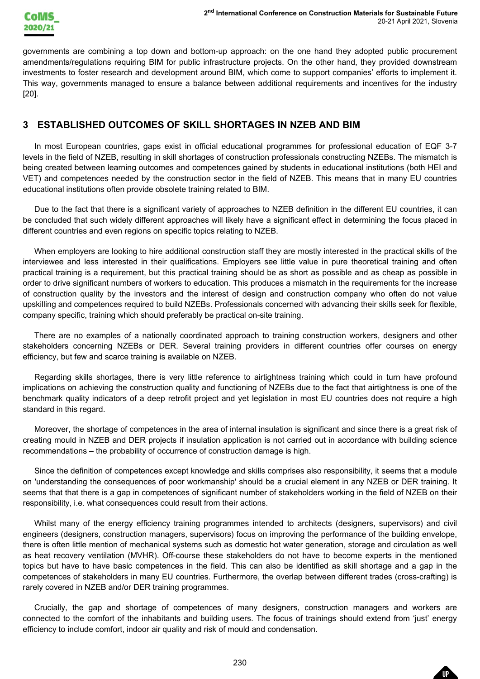

governments are combining a top down and bottom -up approach: on the one hand they adopted public procurement amendments/regulations requiring BIM for public infrastructure projects. On the other hand, they provided downstream investments to foster research and development around BIM, which come to support companies' efforts to implement it. This way, governments managed to ensure a balance between additional requirements and incentives for the industry [20] .

## **3 ESTABLISHED OUTCOMES OF SKILL SHORTAGES IN NZEB AND BIM**

In most European countries, gaps exist in official educational programmes for professional education of EQF 3 -7 levels in the field of NZEB, resulting in skill shortages of construction professionals constructing NZEBs. The mismatch is being created between learning outcomes and competences gained by students in educational institutions (both HEI and VET) and competences needed by the construction sector in the field of NZEB. This means that in many EU countries educational institutions often provide obsolete training related to BIM.

Due to the fact that there is a significant variety of approaches to NZEB definition in the different EU countries, it can be concluded that such widely different approaches will likely have a significant effect in determining the focus placed in different countries and even regions on specific topics relating to NZEB .

 $20-21$  April 2021, slovenias<br>
20-21 April 2021, slovenias<br>
they provided downstream<br>
they provided downstream<br>
ties' efforts to implement it.<br>
incentives for the industry<br>
anal education of EQF 3-7<br>
g NZEBs. The mismatch When employers are looking to hire additional construction staff they are mostly interested in the practical skills of the interviewee and less interested in their qualifications. Employers see little value in pure theoretical training and often practical training is a requirement, but this practical training should be as short as possible and as cheap as possible in order to drive significant numbers of workers to education. This produces a mismatch in the requirements for the increase of construction quality by the investors and the interest of design and construction company who often do not value upskilling and competences required to build NZEBs. Professionals concerned with advancing their skills seek for flexible, company specific, training which should preferably be practical on -site training.

There are no examples of a nationally coordinated approach to training construction workers, designers and other stakeholders concerning NZEBs or DER. Several training providers in different countries offer courses on energy efficiency, but few and scarce training is available on NZEB .

Regarding skills shortages, there is very little reference to airtightness training which could in turn have profound implications on achieving the construction quality and functioning of NZEBs due to the fact that airtightness is one of the benchmark quality indicators of a deep retrofit project and yet legislation in most EU countries does not require a high standard in this regard.

Moreover, the shortage of competences in the area of internal insulation is significant and since there is a great risk of creating mould in NZEB and DER projects if insulation application is not carried out in accordance with building science recommendations – the probability of occurrence of construction damage is high.

Since the definition of competences except knowledge and skills comprises also responsibility, it seems that a module on 'understanding the consequences of poor workmanship' should be a crucial element in any NZEB or DER training. It seems that that there is a gap in competences of significant number of stakeholders working in the field of NZEB on their responsibility, i.e. what consequences could result from their actions.

Whilst many of the energy efficiency training programmes intended to architects (designers, supervisors) and civil engineers (designers, construction managers, supervisors) focus on improving the performance of the building envelope, there is often little mention of mechanical systems such as domestic hot water generation, storage and circulation as well as heat recovery ventilation (MVHR). Off-course these stakeholders do not have to become experts in the mentioned topics but have to have basic competences in the field. This can also be identified as skill shortage and a gap in the competences of stakeholders in many EU countries. Furthermore, the overlap between different trades (cross -crafting) is rarely covered in NZEB and/or DER training programmes.

Crucially, the gap and shortage of competences of many designers, construction managers and workers are connected to the comfort of the inhabitants and building users. The focus of trainings should extend from 'just' energy efficiency to include comfort, indoor air quality and risk of mould and condensation .

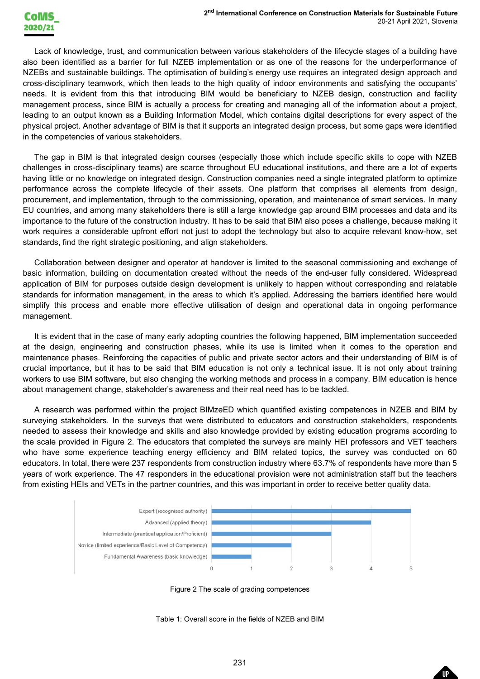Lack of knowledge, trust, and communication between various stakeholders of the lifecycle stages of a building have also been identified as a barrier for full NZEB implementation or as one of the reasons for the underperformance of NZEBs and sustainable buildings. The optimisation of building's energy use requires an integrated design approach and cross -disciplinary teamwork, which then leads to the high quality of indoor environments and satisfying the occupants' needs . It is evident from this that introducing BIM would be beneficiary to NZEB design , construction and facility management process, since BIM is actually a process for creating and managing all of the information about a project, leading to an output known as a Building Information Model, which contains digital descriptions for every aspect of the physical project. Another advantage of BIM is that it supports an integrated design process, but some gaps were identified in the competencies of various stakeholders.

The gap in BIM is that integrated design courses (especially those which include specific skills to cope with NZEB challenges in cross -disciplinary teams) are scarce throughout EU educational institutions, and there are a lot of experts having little or no knowledge on integrated design. Construction companies need a single integrated platform to optimize performance across the complete lifecycle of their assets. One platform that comprises all elements from design, procurement, and implementation, through to the commissioning, operation, and maintenance of smart services. In many EU countries, and among many stakeholders there is still a large knowledge gap around BIM processes and data and its importance to the future of the construction industry. It has to be said that BIM also poses a challenge, because making it work requires a considerable upfront effort not just to adopt the technology but also to acquire relevant know -how, set standards, find the right strategic positioning, and align stakeholders .

Collaboration between designer and operator at handover is limited to the seasonal commissioning and exchange of basic information, building on documentation created without the needs of the end -user fully considered. Widespread application of BIM for purposes outside design development is unlikely to happen without corresponding and relatable standards for information management, in the areas to which it's applied. Addressing the barriers identified here would simplify this process and enable more effective utilisation of design and operational data in ongoing performance management.

It is evident that in the case of many early adopting countries the following happened, BIM implementation succeeded at the design, engineering and construction phases, while its use is limited when it comes to the operation and maintenance phases . Reinforcing the capacities of public and private sector actors and their understanding of BIM is of crucial importance, but it has to be said that BIM education is not only a technical issue . It is not only about training workers to use BIM software, but also changing the working methods and process in a company. BIM education is hence about management change, stakeholder's awareness and their real need has to be tackled .

A research was performed within the project BIMzeED which quantified existing competences in NZEB and BIM by surveying stakeholders. In the surveys that were distributed to educators and construction stakeholders, respondents needed to assess their knowledge and skills and also knowledge provided by existing education programs according to the scale provided in Figure 2. The educators that completed the surveys are mainly HEI professors and VET teachers who have some experience teaching energy efficiency and BIM related topics, the survey was conducted on 60 educators . In total, there were 237 respondents from construction industry where 63.7% of respondents have more than 5 years of work experience. The 47 responders in the educational provision were not administration staff but the teachers from existing HEIs and VETs in the partner countries, and this was important in order to receive better quality data.







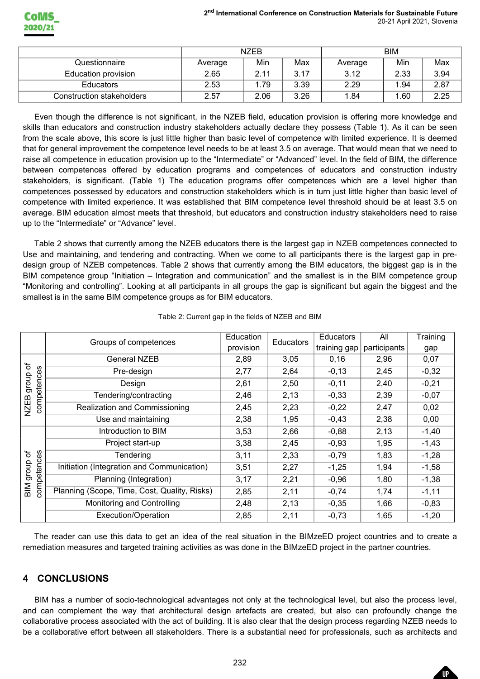|                           |         | <b>NZEB</b> |      |         | <b>BIM</b> |      |
|---------------------------|---------|-------------|------|---------|------------|------|
| Questionnaire             | Average | Min         | Max  | Average | Min        | Max  |
| Education provision       | 2.65    | 2.11        | 3.17 | 3.12    | 2.33       | 3.94 |
| <b>Educators</b>          | 2.53    | .79         | 3.39 | 2.29    | 1.94       | 2.87 |
| Construction stakeholders | 2.57    | 2.06        | 3.26 | 1.84    | .60        | 2.25 |

|               |                                                                                                                                                                                                                                                                                                                                                                                                                                                                                                                                                                                                                                                                                                                                                                                                                                                                                                                                                                                                                                                                                                                                                                                                                                                                                                                                                                                                                                                                                                                                                                                                                                                                                                                                                                                                                                                                            | <b>NZEB</b> |              |              | <b>BIM</b>   |                               |
|---------------|----------------------------------------------------------------------------------------------------------------------------------------------------------------------------------------------------------------------------------------------------------------------------------------------------------------------------------------------------------------------------------------------------------------------------------------------------------------------------------------------------------------------------------------------------------------------------------------------------------------------------------------------------------------------------------------------------------------------------------------------------------------------------------------------------------------------------------------------------------------------------------------------------------------------------------------------------------------------------------------------------------------------------------------------------------------------------------------------------------------------------------------------------------------------------------------------------------------------------------------------------------------------------------------------------------------------------------------------------------------------------------------------------------------------------------------------------------------------------------------------------------------------------------------------------------------------------------------------------------------------------------------------------------------------------------------------------------------------------------------------------------------------------------------------------------------------------------------------------------------------------|-------------|--------------|--------------|--------------|-------------------------------|
|               | Questionnaire                                                                                                                                                                                                                                                                                                                                                                                                                                                                                                                                                                                                                                                                                                                                                                                                                                                                                                                                                                                                                                                                                                                                                                                                                                                                                                                                                                                                                                                                                                                                                                                                                                                                                                                                                                                                                                                              | Average     | Min<br>Max   | Average      | Min          | Max                           |
|               | <b>Education provision</b>                                                                                                                                                                                                                                                                                                                                                                                                                                                                                                                                                                                                                                                                                                                                                                                                                                                                                                                                                                                                                                                                                                                                                                                                                                                                                                                                                                                                                                                                                                                                                                                                                                                                                                                                                                                                                                                 | 2.65        | 2.11<br>3.17 | 3.12         | 2.33         | 3.94                          |
|               | Educators                                                                                                                                                                                                                                                                                                                                                                                                                                                                                                                                                                                                                                                                                                                                                                                                                                                                                                                                                                                                                                                                                                                                                                                                                                                                                                                                                                                                                                                                                                                                                                                                                                                                                                                                                                                                                                                                  | 2.53        | 1.79<br>3.39 | 2.29         | 1.94         | 2.87                          |
|               | <b>Construction stakeholders</b>                                                                                                                                                                                                                                                                                                                                                                                                                                                                                                                                                                                                                                                                                                                                                                                                                                                                                                                                                                                                                                                                                                                                                                                                                                                                                                                                                                                                                                                                                                                                                                                                                                                                                                                                                                                                                                           | 2.57        | 3.26<br>2.06 | 1.84         | 1.60         | 2.25                          |
|               | skills than educators and construction industry stakeholders actually declare they possess (Table 1). As it can be seen<br>from the scale above, this score is just little higher than basic level of competence with limited experience. It is deemed<br>that for general improvement the competence level needs to be at least 3.5 on average. That would mean that we need to<br>raise all competence in education provision up to the "Intermediate" or "Advanced" level. In the field of BIM, the difference<br>between competences offered by education programs and competences of educators and construction industry<br>stakeholders, is significant. (Table 1) The education programs offer competences which are a level higher than<br>competences possessed by educators and construction stakeholders which is in turn just little higher than basic level of<br>competence with limited experience. It was established that BIM competence level threshold should be at least 3.5 on<br>average. BIM education almost meets that threshold, but educators and construction industry stakeholders need to raise<br>up to the "Intermediate" or "Advance" level.<br>Table 2 shows that currently among the NZEB educators there is the largest gap in NZEB competences connected to<br>Use and maintaining, and tendering and contracting. When we come to all participants there is the largest gap in pre-<br>design group of NZEB competences. Table 2 shows that currently among the BIM educators, the biggest gap is in the<br>BIM competence group "Initiation – Integration and communication" and the smallest is in the BIM competence group<br>"Monitoring and controlling". Looking at all participants in all groups the gap is significant but again the biggest and the<br>smallest is in the same BIM competence groups as for BIM educators. |             |              |              |              |                               |
|               | Table 2: Current gap in the fields of NZEB and BIM                                                                                                                                                                                                                                                                                                                                                                                                                                                                                                                                                                                                                                                                                                                                                                                                                                                                                                                                                                                                                                                                                                                                                                                                                                                                                                                                                                                                                                                                                                                                                                                                                                                                                                                                                                                                                         |             |              |              |              |                               |
|               |                                                                                                                                                                                                                                                                                                                                                                                                                                                                                                                                                                                                                                                                                                                                                                                                                                                                                                                                                                                                                                                                                                                                                                                                                                                                                                                                                                                                                                                                                                                                                                                                                                                                                                                                                                                                                                                                            | Education   |              | Educators    | All          |                               |
|               | Groups of competences                                                                                                                                                                                                                                                                                                                                                                                                                                                                                                                                                                                                                                                                                                                                                                                                                                                                                                                                                                                                                                                                                                                                                                                                                                                                                                                                                                                                                                                                                                                                                                                                                                                                                                                                                                                                                                                      | provision   | Educators    | training gap | participants | Training<br>gap               |
|               | <b>General NZEB</b>                                                                                                                                                                                                                                                                                                                                                                                                                                                                                                                                                                                                                                                                                                                                                                                                                                                                                                                                                                                                                                                                                                                                                                                                                                                                                                                                                                                                                                                                                                                                                                                                                                                                                                                                                                                                                                                        | 2,89        | 3,05         | 0,16         | 2,96         | 0,07                          |
|               | Pre-design                                                                                                                                                                                                                                                                                                                                                                                                                                                                                                                                                                                                                                                                                                                                                                                                                                                                                                                                                                                                                                                                                                                                                                                                                                                                                                                                                                                                                                                                                                                                                                                                                                                                                                                                                                                                                                                                 | 2,77        | 2,64         | $-0,13$      | 2,45         | $-0,32$                       |
| asou          | Design                                                                                                                                                                                                                                                                                                                                                                                                                                                                                                                                                                                                                                                                                                                                                                                                                                                                                                                                                                                                                                                                                                                                                                                                                                                                                                                                                                                                                                                                                                                                                                                                                                                                                                                                                                                                                                                                     | 2,61        | 2,50         | $-0,11$      | 2,40         | $-0,21$                       |
|               | Tendering/contracting                                                                                                                                                                                                                                                                                                                                                                                                                                                                                                                                                                                                                                                                                                                                                                                                                                                                                                                                                                                                                                                                                                                                                                                                                                                                                                                                                                                                                                                                                                                                                                                                                                                                                                                                                                                                                                                      | 2,46        | 2,13         | $-0,33$      | 2,39         | $-0,07$                       |
|               | Realization and Commissioning                                                                                                                                                                                                                                                                                                                                                                                                                                                                                                                                                                                                                                                                                                                                                                                                                                                                                                                                                                                                                                                                                                                                                                                                                                                                                                                                                                                                                                                                                                                                                                                                                                                                                                                                                                                                                                              | 2,45        | 2,23         | $-0,22$      | 2,47         | 0,02                          |
|               | Use and maintaining                                                                                                                                                                                                                                                                                                                                                                                                                                                                                                                                                                                                                                                                                                                                                                                                                                                                                                                                                                                                                                                                                                                                                                                                                                                                                                                                                                                                                                                                                                                                                                                                                                                                                                                                                                                                                                                        | 2,38        | 1,95         | $-0,43$      | 2,38         | 0,00                          |
| competer      | Introduction to BIM                                                                                                                                                                                                                                                                                                                                                                                                                                                                                                                                                                                                                                                                                                                                                                                                                                                                                                                                                                                                                                                                                                                                                                                                                                                                                                                                                                                                                                                                                                                                                                                                                                                                                                                                                                                                                                                        | 3,53        | 2,66         | $-0,88$      | 2,13         | $-1,40$                       |
| NZEB group of | Project start-up                                                                                                                                                                                                                                                                                                                                                                                                                                                                                                                                                                                                                                                                                                                                                                                                                                                                                                                                                                                                                                                                                                                                                                                                                                                                                                                                                                                                                                                                                                                                                                                                                                                                                                                                                                                                                                                           | 3,38        | 2,45         | $-0,93$      | 1,95         | $-1,43$                       |
|               | Tendering                                                                                                                                                                                                                                                                                                                                                                                                                                                                                                                                                                                                                                                                                                                                                                                                                                                                                                                                                                                                                                                                                                                                                                                                                                                                                                                                                                                                                                                                                                                                                                                                                                                                                                                                                                                                                                                                  | 3,11        | 2,33         | $-0,79$      | 1,83         |                               |
|               | Initiation (Integration and Communication)                                                                                                                                                                                                                                                                                                                                                                                                                                                                                                                                                                                                                                                                                                                                                                                                                                                                                                                                                                                                                                                                                                                                                                                                                                                                                                                                                                                                                                                                                                                                                                                                                                                                                                                                                                                                                                 | 3,51        | 2,27         | $-1,25$      | 1,94         |                               |
| BIM group of  | Planning (Integration)                                                                                                                                                                                                                                                                                                                                                                                                                                                                                                                                                                                                                                                                                                                                                                                                                                                                                                                                                                                                                                                                                                                                                                                                                                                                                                                                                                                                                                                                                                                                                                                                                                                                                                                                                                                                                                                     | 3,17        | 2,21         | $-0,96$      | 1,80         | $-1,28$<br>$-1,58$<br>$-1,38$ |
|               | Planning (Scope, Time, Cost, Quality, Risks)                                                                                                                                                                                                                                                                                                                                                                                                                                                                                                                                                                                                                                                                                                                                                                                                                                                                                                                                                                                                                                                                                                                                                                                                                                                                                                                                                                                                                                                                                                                                                                                                                                                                                                                                                                                                                               | 2,85        | 2,11         | $-0,74$      | 1,74         | $-1,11$                       |
| competences   | Monitoring and Controlling                                                                                                                                                                                                                                                                                                                                                                                                                                                                                                                                                                                                                                                                                                                                                                                                                                                                                                                                                                                                                                                                                                                                                                                                                                                                                                                                                                                                                                                                                                                                                                                                                                                                                                                                                                                                                                                 | 2,48        | 2,13         | $-0,35$      | 1,66         | $-0,83$                       |

#### Table 2: Current gap in the fields of NZEB and BIM

# **4 CONCLUSIONS**

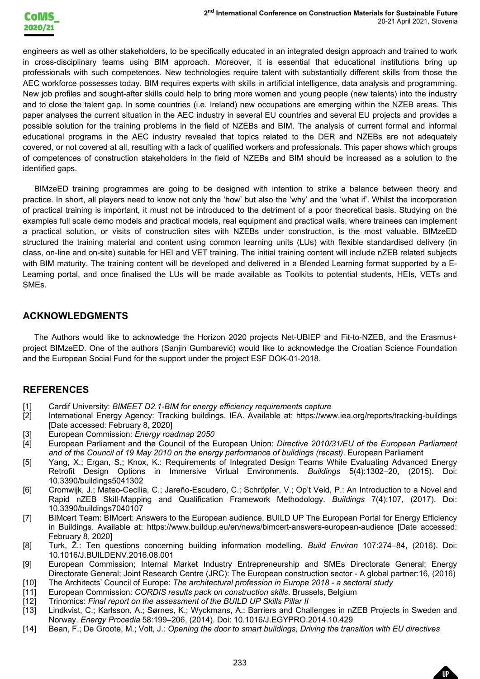$20-21$  April 2021, slovenia<br>proach and trained to work<br>onal institutions bring up<br>erent skills from those the<br>enantysis and programming.<br>we talents) into the industry<br>we talents) into the industry<br>we talents) into the in engineers as well as other stakeholders, to be specifically educated in an integrated design approach and trained to work in cross -disciplinary teams using BIM approach. Moreover, it is essential that educational institutions bring up professionals with such competences. New technologies require talent with substantially different skills from those the AEC workforce possesses today. BIM requires experts with skills in artificial intelligence, data analysis and programming. New job profiles and sought-after skills could help to bring more women and young people (new talents) into the industry and to close the talent gap. In some countries (i.e. Ireland) new occupations are emerging within the NZEB areas. This paper analyses the current situation in the AEC industry in several EU countries and several EU projects and provides a possible solution for the training problems in the field of NZEBs and BIM. The analysis of current formal and informal educational programs in the AEC industry revealed that topics related to the DER and NZEBs are not adequately covered, or not covered at all, resulting with a lack of qualified workers and professionals. This paper show s which groups of competences of construction stakeholders in the field of NZEBs and BIM should be increased as a solution to the identified gaps .

BIMzeED training programmes are going to be designed with intention to strike a balance between theory and practice. In short, all players need to know not only the 'how' but also the 'why' and the 'what if'. Whilst the incorporation of practical training is important, it must not be introduced to the detriment of a poor theoretical basis. Studying on the examples full scale demo models and practical models, real equipment and practical walls, where trainees can implement a practical solution, or visits of construction sites with NZEBs under construction, is the most valuable . BIMzeED structured the training material and content using common learning units (LUs) with flexible standardised delivery (in class, on-line and on-site) suitable for HEI and VET training. The initial training content will include nZEB related subjects with BIM maturity. The training content will be developed and delivered in a Blended Learning format supported by a E - Learning portal, and once finalised the LUs will be made available as Toolkits to potential students, HEIs, VETs and SMEs.

## **ACKNOWLEDGMENTS**

The Authors would like to acknowledge the Horizon 2020 projects Net -UBIEP and Fit -to -NZEB, and the Erasmus+ project BIMzeED. One of the authors (Sanjin Gumbarević) would like to acknowledge the Croatian Science Foundation and the European Social Fund for the support under the project ESF DOK -01 -2018.

## **REFERENCES**

- [1] Cardif University: *BIMEET D2.1 -BIM for energy efficiency requirements capture*
- [2] International Energy Agency: Tracking buildings. IEA. Available at: https://www.iea.org/reports/tracking -buildings [Date accessed: February 8, 2020]
- [3] European Commission: *Energy roadmap 2050*
- [4] European Parliament and the Council of the European Union: *Directive 2010/31/EU of the European Parliament and of the Council of 19 May 2010 on the energy performance of buildings (recast)*. European Parliament
- [5] Yang, X.; Ergan, S.; Knox, K.: Requirements of Integrated Design Teams While Evaluating Advanced Energy Retrofit Design Options in Immersive Virtual Environments. *Buildings* 5(4):1302 –20, (2015). Doi: 10.3390/buildings5041302
- [6] Cromwijk, J.; Mateo -Cecilia, C.; Jareño -Escudero, C.; Schröpfer, V.; Op't Veld, P.: An Introduction to a Novel and Rapid nZEB Skill-Mapping and Qualification Framework Methodology. *Buildings* 7(4):107, (2017). Doi: 10.3390/buildings7040107
- [7] BIMcert Team: BIMcert: Answers to the European audience. BUILD UP The European Portal for Energy Efficiency in Buildings. Available at: https://www.buildup.eu/en/news/bimcert -answers -european -audience [Date accessed: February 8, 2020]
- [8] Turk, Ž.: Ten questions concerning building information modelling. *Build Environ* 107:274 –84, (2016). Doi: 10.1016/J.BUILDENV.2016.08.001
- [9] European Commission; Internal Market Industry Entrepreneurship and SMEs Directorate General; Energy Directorate General; Joint Research Centre (JRC): The European construction sector - A global partner:16, (2016)
- [10] The Architects' Council of Europe: *The architectural profession in Europe 2018 - a sectoral study*
- [11] European Commission: *CORDIS results pack on construction skills*. Brussels, Belgium
- [12] Trinomics: *Final report on the assessment of the BUILD UP Skills Pillar II*
- [13] Lindkvist, C.; Karlsson, A.; Sørnes, K.; Wyckmans, A.: Barriers and Challenges in nZEB Projects in Sweden and Norway. *Energy Procedia* 58:199 –206, (2014). Doi: 10.1016/J.EGYPRO.2014.10.429
- [14] Bean, F.; De Groote, M.; Volt, J.: *Opening the door to smart buildings, Driving the transition with EU directives*